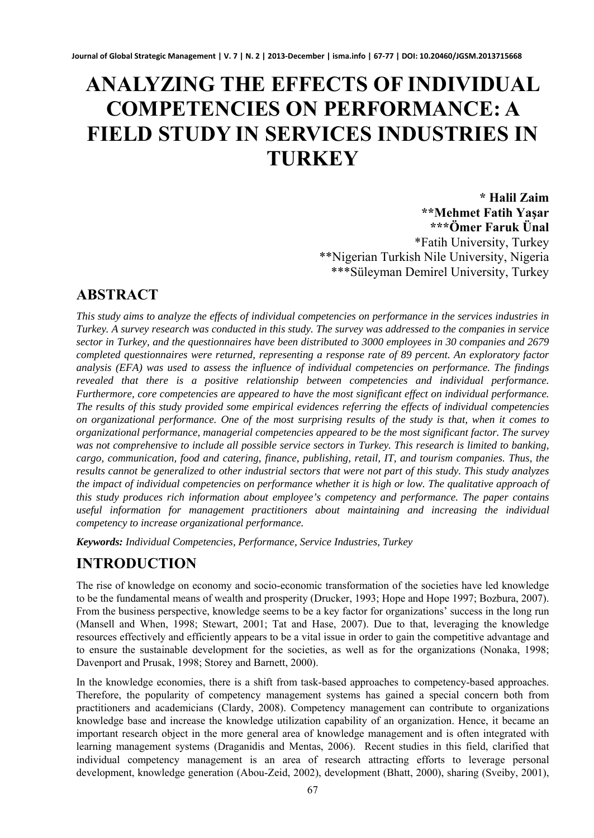# **ANALYZING THE EFFECTS OF INDIVIDUAL COMPETENCIES ON PERFORMANCE: A FIELD STUDY IN SERVICES INDUSTRIES IN TURKEY**

**\* Halil Zaim \*\*Mehmet Fatih Yaşar \*\*\*Ömer Faruk Ünal**  \*Fatih University, Turkey \*\*Nigerian Turkish Nile University, Nigeria \*\*\*Süleyman Demirel University, Turkey

# **ABSTRACT**

*This study aims to analyze the effects of individual competencies on performance in the services industries in Turkey. A survey research was conducted in this study. The survey was addressed to the companies in service sector in Turkey, and the questionnaires have been distributed to 3000 employees in 30 companies and 2679 completed questionnaires were returned, representing a response rate of 89 percent. An exploratory factor analysis (EFA) was used to assess the influence of individual competencies on performance. The findings revealed that there is a positive relationship between competencies and individual performance. Furthermore, core competencies are appeared to have the most significant effect on individual performance. The results of this study provided some empirical evidences referring the effects of individual competencies on organizational performance. One of the most surprising results of the study is that, when it comes to organizational performance, managerial competencies appeared to be the most significant factor. The survey was not comprehensive to include all possible service sectors in Turkey. This research is limited to banking, cargo, communication, food and catering, finance, publishing, retail, IT, and tourism companies. Thus, the results cannot be generalized to other industrial sectors that were not part of this study. This study analyzes the impact of individual competencies on performance whether it is high or low. The qualitative approach of this study produces rich information about employee's competency and performance. The paper contains useful information for management practitioners about maintaining and increasing the individual competency to increase organizational performance.* 

*Keywords: Individual Competencies, Performance, Service Industries, Turkey* 

# **INTRODUCTION**

The rise of knowledge on economy and socio-economic transformation of the societies have led knowledge to be the fundamental means of wealth and prosperity (Drucker, 1993; Hope and Hope 1997; Bozbura, 2007). From the business perspective, knowledge seems to be a key factor for organizations' success in the long run (Mansell and When, 1998; Stewart, 2001; Tat and Hase, 2007). Due to that, leveraging the knowledge resources effectively and efficiently appears to be a vital issue in order to gain the competitive advantage and to ensure the sustainable development for the societies, as well as for the organizations (Nonaka, 1998; Davenport and Prusak, 1998; Storey and Barnett, 2000).

In the knowledge economies, there is a shift from task-based approaches to competency-based approaches. Therefore, the popularity of competency management systems has gained a special concern both from practitioners and academicians (Clardy, 2008). Competency management can contribute to organizations knowledge base and increase the knowledge utilization capability of an organization. Hence, it became an important research object in the more general area of knowledge management and is often integrated with learning management systems (Draganidis and Mentas, 2006). Recent studies in this field, clarified that individual competency management is an area of research attracting efforts to leverage personal development, knowledge generation (Abou-Zeid, 2002), development (Bhatt, 2000), sharing (Sveiby, 2001),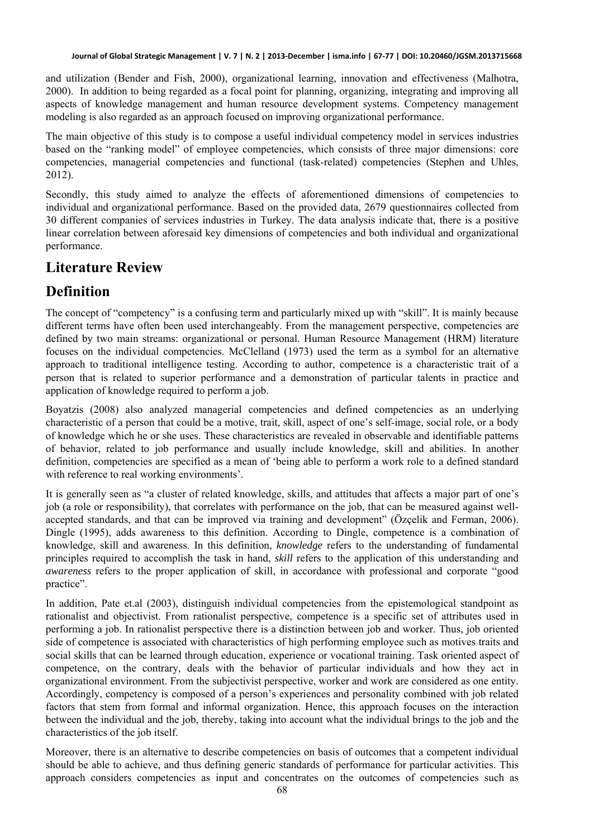and utilization (Bender and Fish, 2000), organizational learning, innovation and effectiveness (Malhotra, 2000). In addition to being regarded as a focal point for planning, organizing, integrating and improving all aspects of knowledge management and human resource development systems. Competency management modeling is also regarded as an approach focused on improving organizational performance.

The main objective of this study is to compose a useful individual competency model in services industries based on the "ranking model" of employee competencies, which consists of three major dimensions: core competencies, managerial competencies and functional (task-related) competencies (Stephen and Uhles, 2012).

Secondly, this study aimed to analyze the effects of aforementioned dimensions of competencies to individual and organizational performance. Based on the provided data, 2679 questionnaires collected from 30 different companies of services industries in Turkey. The data analysis indicate that, there is a positive linear correlation between aforesaid key dimensions of competencies and both individual and organizational performance.

# **Literature Review**

#### **Definition**

The concept of "competency" is a confusing term and particularly mixed up with "skill". It is mainly because different terms have often been used interchangeably. From the management perspective, competencies are defined by two main streams: organizational or personal. Human Resource Management (HRM) literature focuses on the individual competencies. McClelland (1973) used the term as a symbol for an alternative approach to traditional intelligence testing. According to author, competence is a characteristic trait of a person that is related to superior performance and a demonstration of particular talents in practice and application of knowledge required to perform a job.

Boyatzis (2008) also analyzed managerial competencies and defined competencies as an underlying characteristic of a person that could be a motive, trait, skill, aspect of one's self-image, social role, or a body of knowledge which he or she uses. These characteristics are revealed in observable and identifiable patterns of behavior, related to job performance and usually include knowledge, skill and abilities. In another definition, competencies are specified as a mean of 'being able to perform a work role to a defined standard with reference to real working environments'.

It is generally seen as "a cluster of related knowledge, skills, and attitudes that affects a major part of one's job (a role or responsibility), that correlates with performance on the job, that can be measured against wellaccepted standards, and that can be improved via training and development" (Özçelik and Ferman, 2006). Dingle (1995), adds awareness to this definition. According to Dingle, competence is a combination of knowledge, skill and awareness. In this definition, *knowledge* refers to the understanding of fundamental principles required to accomplish the task in hand, *skill* refers to the application of this understanding and *awareness* refers to the proper application of skill, in accordance with professional and corporate "good practice".

In addition, Pate et.al (2003), distinguish individual competencies from the epistemological standpoint as rationalist and objectivist. From rationalist perspective, competence is a specific set of attributes used in performing a job. In rationalist perspective there is a distinction between job and worker. Thus, job oriented side of competence is associated with characteristics of high performing employee such as motives traits and social skills that can be learned through education, experience or vocational training. Task oriented aspect of competence, on the contrary, deals with the behavior of particular individuals and how they act in organizational environment. From the subjectivist perspective, worker and work are considered as one entity. Accordingly, competency is composed of a person's experiences and personality combined with job related factors that stem from formal and informal organization. Hence, this approach focuses on the interaction between the individual and the job, thereby, taking into account what the individual brings to the job and the characteristics of the job itself.

Moreover, there is an alternative to describe competencies on basis of outcomes that a competent individual should be able to achieve, and thus defining generic standards of performance for particular activities. This approach considers competencies as input and concentrates on the outcomes of competencies such as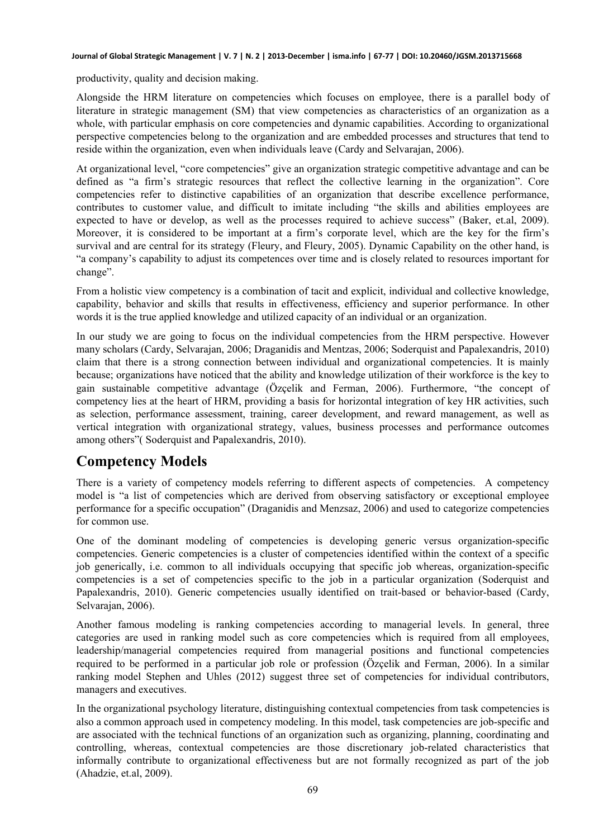#### **Journal of Global Strategic Management | V. 7 | N. 2 | 2013-December | isma.info | 67-77 | DOI: 10.20460/JGSM.2013715668**

productivity, quality and decision making.

Alongside the HRM literature on competencies which focuses on employee, there is a parallel body of literature in strategic management (SM) that view competencies as characteristics of an organization as a whole, with particular emphasis on core competencies and dynamic capabilities. According to organizational perspective competencies belong to the organization and are embedded processes and structures that tend to reside within the organization, even when individuals leave (Cardy and Selvarajan, 2006).

At organizational level, "core competencies" give an organization strategic competitive advantage and can be defined as "a firm's strategic resources that reflect the collective learning in the organization". Core competencies refer to distinctive capabilities of an organization that describe excellence performance, contributes to customer value, and difficult to imitate including "the skills and abilities employees are expected to have or develop, as well as the processes required to achieve success" (Baker, et.al, 2009). Moreover, it is considered to be important at a firm's corporate level, which are the key for the firm's survival and are central for its strategy (Fleury, and Fleury, 2005). Dynamic Capability on the other hand, is "a company's capability to adjust its competences over time and is closely related to resources important for change".

From a holistic view competency is a combination of tacit and explicit, individual and collective knowledge, capability, behavior and skills that results in effectiveness, efficiency and superior performance. In other words it is the true applied knowledge and utilized capacity of an individual or an organization.

In our study we are going to focus on the individual competencies from the HRM perspective. However many scholars (Cardy, Selvarajan, 2006; Draganidis and Mentzas, 2006; Soderquist and Papalexandris, 2010) claim that there is a strong connection between individual and organizational competencies. It is mainly because; organizations have noticed that the ability and knowledge utilization of their workforce is the key to gain sustainable competitive advantage (Özçelik and Ferman, 2006). Furthermore, "the concept of competency lies at the heart of HRM, providing a basis for horizontal integration of key HR activities, such as selection, performance assessment, training, career development, and reward management, as well as vertical integration with organizational strategy, values, business processes and performance outcomes among others"( Soderquist and Papalexandris, 2010).

#### **Competency Models**

There is a variety of competency models referring to different aspects of competencies. A competency model is "a list of competencies which are derived from observing satisfactory or exceptional employee performance for a specific occupation" (Draganidis and Menzsaz, 2006) and used to categorize competencies for common use.

One of the dominant modeling of competencies is developing generic versus organization-specific competencies. Generic competencies is a cluster of competencies identified within the context of a specific job generically, i.e. common to all individuals occupying that specific job whereas, organization-specific competencies is a set of competencies specific to the job in a particular organization (Soderquist and Papalexandris, 2010). Generic competencies usually identified on trait-based or behavior-based (Cardy, Selvarajan, 2006).

Another famous modeling is ranking competencies according to managerial levels. In general, three categories are used in ranking model such as core competencies which is required from all employees, leadership/managerial competencies required from managerial positions and functional competencies required to be performed in a particular job role or profession (Özçelik and Ferman, 2006). In a similar ranking model Stephen and Uhles (2012) suggest three set of competencies for individual contributors, managers and executives.

In the organizational psychology literature, distinguishing contextual competencies from task competencies is also a common approach used in competency modeling. In this model, task competencies are job-specific and are associated with the technical functions of an organization such as organizing, planning, coordinating and controlling, whereas, contextual competencies are those discretionary job-related characteristics that informally contribute to organizational effectiveness but are not formally recognized as part of the job (Ahadzie, et.al, 2009).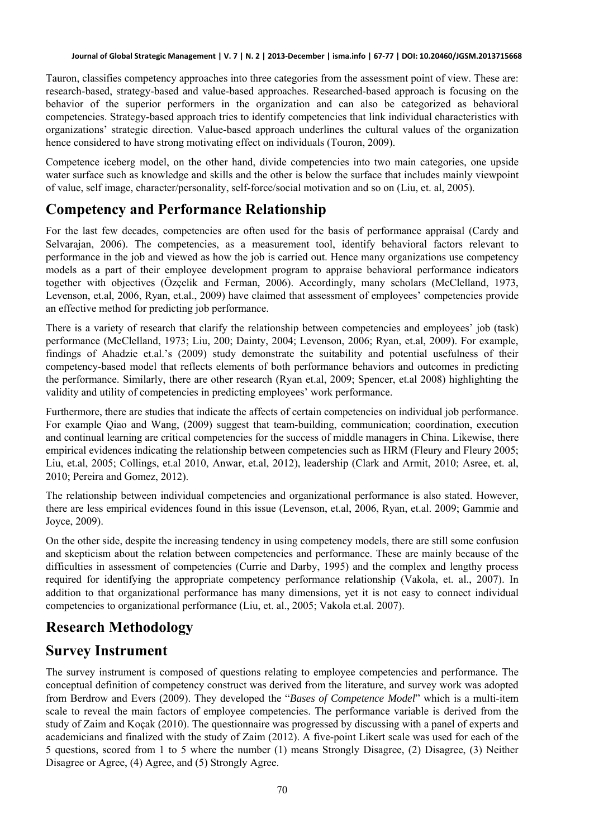Tauron, classifies competency approaches into three categories from the assessment point of view. These are: research-based, strategy-based and value-based approaches. Researched-based approach is focusing on the behavior of the superior performers in the organization and can also be categorized as behavioral competencies. Strategy-based approach tries to identify competencies that link individual characteristics with organizations' strategic direction. Value-based approach underlines the cultural values of the organization hence considered to have strong motivating effect on individuals (Touron, 2009).

Competence iceberg model, on the other hand, divide competencies into two main categories, one upside water surface such as knowledge and skills and the other is below the surface that includes mainly viewpoint of value, self image, character/personality, self-force/social motivation and so on (Liu, et. al, 2005).

# **Competency and Performance Relationship**

For the last few decades, competencies are often used for the basis of performance appraisal (Cardy and Selvarajan, 2006). The competencies, as a measurement tool, identify behavioral factors relevant to performance in the job and viewed as how the job is carried out. Hence many organizations use competency models as a part of their employee development program to appraise behavioral performance indicators together with objectives (Özçelik and Ferman, 2006). Accordingly, many scholars (McClelland, 1973, Levenson, et.al, 2006, Ryan, et.al., 2009) have claimed that assessment of employees' competencies provide an effective method for predicting job performance.

There is a variety of research that clarify the relationship between competencies and employees' job (task) performance (McClelland, 1973; Liu, 200; Dainty, 2004; Levenson, 2006; Ryan, et.al, 2009). For example, findings of Ahadzie et.al.'s (2009) study demonstrate the suitability and potential usefulness of their competency-based model that reflects elements of both performance behaviors and outcomes in predicting the performance. Similarly, there are other research (Ryan et.al, 2009; Spencer, et.al 2008) highlighting the validity and utility of competencies in predicting employees' work performance.

Furthermore, there are studies that indicate the affects of certain competencies on individual job performance. For example Qiao and Wang, (2009) suggest that team-building, communication; coordination, execution and continual learning are critical competencies for the success of middle managers in China. Likewise, there empirical evidences indicating the relationship between competencies such as HRM (Fleury and Fleury 2005; Liu, et.al, 2005; Collings, et.al 2010, Anwar, et.al, 2012), leadership (Clark and Armit, 2010; Asree, et. al, 2010; Pereira and Gomez, 2012).

The relationship between individual competencies and organizational performance is also stated. However, there are less empirical evidences found in this issue (Levenson, et.al, 2006, Ryan, et.al. 2009; Gammie and Joyce, 2009).

On the other side, despite the increasing tendency in using competency models, there are still some confusion and skepticism about the relation between competencies and performance. These are mainly because of the difficulties in assessment of competencies (Currie and Darby, 1995) and the complex and lengthy process required for identifying the appropriate competency performance relationship (Vakola, et. al., 2007). In addition to that organizational performance has many dimensions, yet it is not easy to connect individual competencies to organizational performance (Liu, et. al., 2005; Vakola et.al. 2007).

# **Research Methodology**

#### **Survey Instrument**

The survey instrument is composed of questions relating to employee competencies and performance. The conceptual definition of competency construct was derived from the literature, and survey work was adopted from Berdrow and Evers (2009). They developed the "*Bases of Competence Model*" which is a multi-item scale to reveal the main factors of employee competencies. The performance variable is derived from the study of Zaim and Koçak (2010). The questionnaire was progressed by discussing with a panel of experts and academicians and finalized with the study of Zaim (2012). A five-point Likert scale was used for each of the 5 questions, scored from 1 to 5 where the number (1) means Strongly Disagree, (2) Disagree, (3) Neither Disagree or Agree, (4) Agree, and (5) Strongly Agree.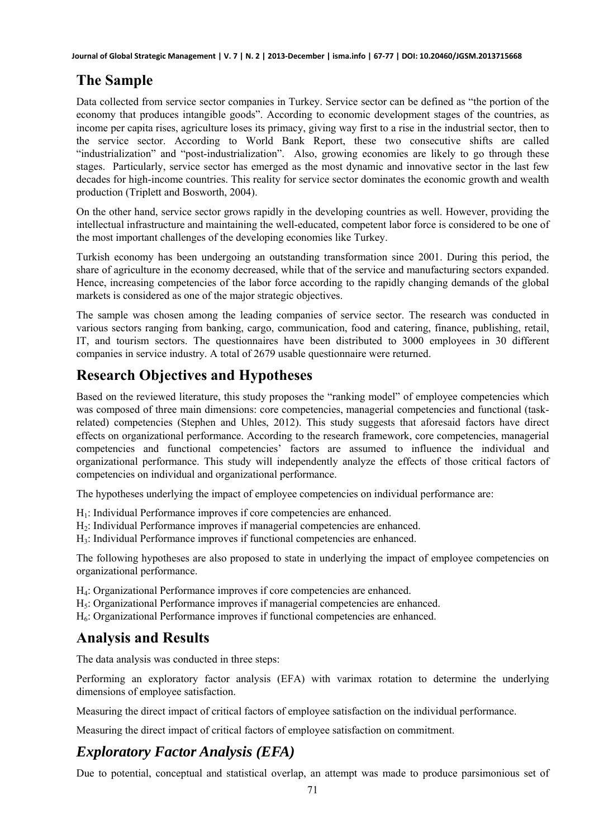#### **The Sample**

Data collected from service sector companies in Turkey. Service sector can be defined as "the portion of the economy that produces intangible goods". According to economic development stages of the countries, as income per capita rises, agriculture loses its primacy, giving way first to a rise in the industrial sector, then to the service sector. According to World Bank Report, these two consecutive shifts are called "industrialization" and "post-industrialization". Also, growing economies are likely to go through these stages. Particularly, service sector has emerged as the most dynamic and innovative sector in the last few decades for high-income countries. This reality for service sector dominates the economic growth and wealth production (Triplett and Bosworth, 2004).

On the other hand, service sector grows rapidly in the developing countries as well. However, providing the intellectual infrastructure and maintaining the well-educated, competent labor force is considered to be one of the most important challenges of the developing economies like Turkey.

Turkish economy has been undergoing an outstanding transformation since 2001. During this period, the share of agriculture in the economy decreased, while that of the service and manufacturing sectors expanded. Hence, increasing competencies of the labor force according to the rapidly changing demands of the global markets is considered as one of the major strategic objectives.

The sample was chosen among the leading companies of service sector. The research was conducted in various sectors ranging from banking, cargo, communication, food and catering, finance, publishing, retail, IT, and tourism sectors. The questionnaires have been distributed to 3000 employees in 30 different companies in service industry. A total of 2679 usable questionnaire were returned.

#### **Research Objectives and Hypotheses**

Based on the reviewed literature, this study proposes the "ranking model" of employee competencies which was composed of three main dimensions: core competencies, managerial competencies and functional (taskrelated) competencies (Stephen and Uhles, 2012). This study suggests that aforesaid factors have direct effects on organizational performance. According to the research framework, core competencies, managerial competencies and functional competencies' factors are assumed to influence the individual and organizational performance. This study will independently analyze the effects of those critical factors of competencies on individual and organizational performance.

The hypotheses underlying the impact of employee competencies on individual performance are:

- H1: Individual Performance improves if core competencies are enhanced.
- H2: Individual Performance improves if managerial competencies are enhanced.
- H3: Individual Performance improves if functional competencies are enhanced.

The following hypotheses are also proposed to state in underlying the impact of employee competencies on organizational performance.

- H4: Organizational Performance improves if core competencies are enhanced.
- H<sub>5</sub>: Organizational Performance improves if managerial competencies are enhanced.
- H6: Organizational Performance improves if functional competencies are enhanced.

#### **Analysis and Results**

The data analysis was conducted in three steps:

Performing an exploratory factor analysis (EFA) with varimax rotation to determine the underlying dimensions of employee satisfaction.

Measuring the direct impact of critical factors of employee satisfaction on the individual performance.

Measuring the direct impact of critical factors of employee satisfaction on commitment.

# *Exploratory Factor Analysis (EFA)*

Due to potential, conceptual and statistical overlap, an attempt was made to produce parsimonious set of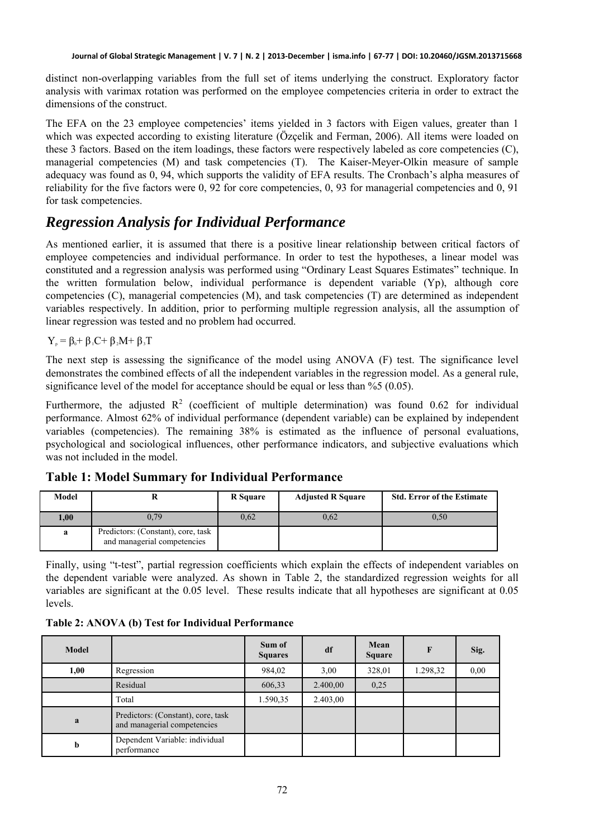distinct non-overlapping variables from the full set of items underlying the construct. Exploratory factor analysis with varimax rotation was performed on the employee competencies criteria in order to extract the dimensions of the construct.

The EFA on the 23 employee competencies' items yielded in 3 factors with Eigen values, greater than 1 which was expected according to existing literature (Özçelik and Ferman, 2006). All items were loaded on these 3 factors. Based on the item loadings, these factors were respectively labeled as core competencies (C), managerial competencies (M) and task competencies (T). The Kaiser-Meyer-Olkin measure of sample adequacy was found as 0, 94, which supports the validity of EFA results. The Cronbach's alpha measures of reliability for the five factors were 0, 92 for core competencies, 0, 93 for managerial competencies and 0, 91 for task competencies.

#### *Regression Analysis for Individual Performance*

As mentioned earlier, it is assumed that there is a positive linear relationship between critical factors of employee competencies and individual performance. In order to test the hypotheses, a linear model was constituted and a regression analysis was performed using "Ordinary Least Squares Estimates" technique. In the written formulation below, individual performance is dependent variable (Yp), although core competencies (C), managerial competencies (M), and task competencies (T) are determined as independent variables respectively. In addition, prior to performing multiple regression analysis, all the assumption of linear regression was tested and no problem had occurred.

 $Y_p = \beta_0 + \beta_1 C + \beta_2 M + \beta_3 T$ 

The next step is assessing the significance of the model using ANOVA (F) test. The significance level demonstrates the combined effects of all the independent variables in the regression model. As a general rule, significance level of the model for acceptance should be equal or less than %5 (0.05).

Furthermore, the adjusted  $R^2$  (coefficient of multiple determination) was found 0.62 for individual performance. Almost 62% of individual performance (dependent variable) can be explained by independent variables (competencies). The remaining 38% is estimated as the influence of personal evaluations, psychological and sociological influences, other performance indicators, and subjective evaluations which was not included in the model.

| Model |                                                                   | <b>R</b> Square | <b>Adjusted R Square</b> | <b>Std. Error of the Estimate</b> |
|-------|-------------------------------------------------------------------|-----------------|--------------------------|-----------------------------------|
| 00.1  | 0.79                                                              | 0,62            | 0,62                     | 0,50                              |
| a     | Predictors: (Constant), core, task<br>and managerial competencies |                 |                          |                                   |

**Table 1: Model Summary for Individual Performance** 

Finally, using "t-test", partial regression coefficients which explain the effects of independent variables on the dependent variable were analyzed. As shown in Table 2, the standardized regression weights for all variables are significant at the 0.05 level. These results indicate that all hypotheses are significant at 0.05 levels.

|  | Table 2: ANOVA (b) Test for Individual Performance |
|--|----------------------------------------------------|
|--|----------------------------------------------------|

| Model |                                                                   | Sum of<br><b>Squares</b> | df       | Mean<br><b>Square</b> | F        | Sig. |
|-------|-------------------------------------------------------------------|--------------------------|----------|-----------------------|----------|------|
| 1,00  | Regression                                                        | 984,02                   | 3,00     | 328,01                | 1.298,32 | 0.00 |
|       | Residual                                                          | 606,33                   | 2.400,00 | 0,25                  |          |      |
|       | Total                                                             | 1.590,35                 | 2.403,00 |                       |          |      |
| a     | Predictors: (Constant), core, task<br>and managerial competencies |                          |          |                       |          |      |
| b     | Dependent Variable: individual<br>performance                     |                          |          |                       |          |      |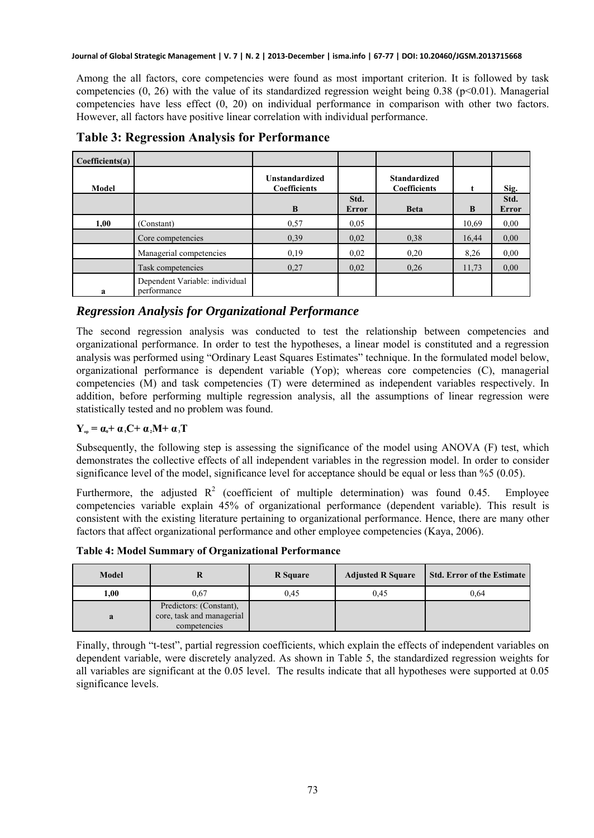**Journal of Global Strategic Management | V. 7 | N. 2 | 2013-December | isma.info | 67-77 | DOI: 10.20460/JGSM.2013715668**

Among the all factors, core competencies were found as most important criterion. It is followed by task competencies  $(0, 26)$  with the value of its standardized regression weight being 0.38 (p<0.01). Managerial competencies have less effect (0, 20) on individual performance in comparison with other two factors. However, all factors have positive linear correlation with individual performance.

| Coefficient(a) |                                               |                                              |                      |                                            |       |                      |
|----------------|-----------------------------------------------|----------------------------------------------|----------------------|--------------------------------------------|-------|----------------------|
| Model          |                                               | <b>Unstandardized</b><br><b>Coefficients</b> |                      | <b>Standardized</b><br><b>Coefficients</b> |       | Sig.                 |
|                |                                               | B                                            | Std.<br><b>Error</b> | <b>Beta</b>                                | B     | Std.<br><b>Error</b> |
| 1,00           | (Constant)                                    | 0,57                                         | 0.05                 |                                            | 10,69 | 0,00                 |
|                | Core competencies                             | 0.39                                         | 0,02                 | 0,38                                       | 16,44 | 0.00                 |
|                | Managerial competencies                       | 0,19                                         | 0.02                 | 0,20                                       | 8.26  | 0.00                 |
|                | Task competencies                             | 0,27                                         | 0,02                 | 0,26                                       | 11,73 | 0.00                 |
| a              | Dependent Variable: individual<br>performance |                                              |                      |                                            |       |                      |

**Table 3: Regression Analysis for Performance** 

#### *Regression Analysis for Organizational Performance*

The second regression analysis was conducted to test the relationship between competencies and organizational performance. In order to test the hypotheses, a linear model is constituted and a regression analysis was performed using "Ordinary Least Squares Estimates" technique. In the formulated model below, organizational performance is dependent variable (Yop); whereas core competencies (C), managerial competencies (M) and task competencies (T) were determined as independent variables respectively. In addition, before performing multiple regression analysis, all the assumptions of linear regression were statistically tested and no problem was found.

#### $Y_{op} = \alpha_0 + \alpha_1 C + \alpha_2 M + \alpha_3 T$

Subsequently, the following step is assessing the significance of the model using ANOVA (F) test, which demonstrates the collective effects of all independent variables in the regression model. In order to consider significance level of the model, significance level for acceptance should be equal or less than %5 (0.05).

Furthermore, the adjusted  $R^2$  (coefficient of multiple determination) was found 0.45. Employee competencies variable explain 45% of organizational performance (dependent variable). This result is consistent with the existing literature pertaining to organizational performance. Hence, there are many other factors that affect organizational performance and other employee competencies (Kaya, 2006).

**Table 4: Model Summary of Organizational Performance** 

| Model | R                                                                    | <b>R</b> Square | <b>Adjusted R Square</b> | <b>Std. Error of the Estimate</b> |
|-------|----------------------------------------------------------------------|-----------------|--------------------------|-----------------------------------|
| 1,00  | 0.67                                                                 | 0.45            | 0.45                     | 0.64                              |
| a     | Predictors: (Constant),<br>core, task and managerial<br>competencies |                 |                          |                                   |

Finally, through "t-test", partial regression coefficients, which explain the effects of independent variables on dependent variable, were discretely analyzed. As shown in Table 5, the standardized regression weights for all variables are significant at the 0.05 level. The results indicate that all hypotheses were supported at 0.05 significance levels.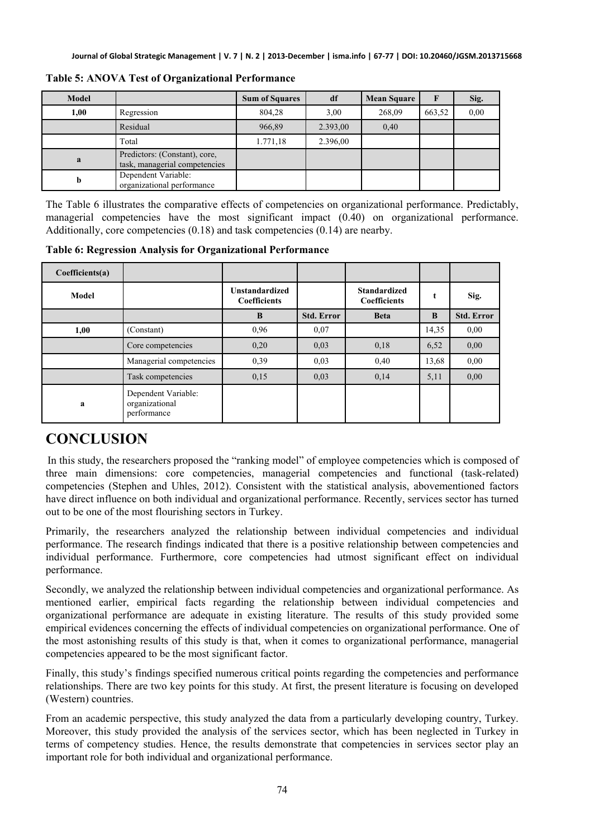| <b>Model</b> |                                                                | <b>Sum of Squares</b> | df       | <b>Mean Square</b> |        | Sig. |
|--------------|----------------------------------------------------------------|-----------------------|----------|--------------------|--------|------|
| 1,00         | Regression                                                     | 804,28                | 3,00     | 268,09             | 663,52 | 0.00 |
|              | Residual                                                       | 966,89                | 2.393,00 | 0,40               |        |      |
|              | Total                                                          | 1.771,18              | 2.396,00 |                    |        |      |
| a            | Predictors: (Constant), core,<br>task, managerial competencies |                       |          |                    |        |      |
| b            | Dependent Variable:<br>organizational performance              |                       |          |                    |        |      |

**Table 5: ANOVA Test of Organizational Performance**

The Table 6 illustrates the comparative effects of competencies on organizational performance. Predictably, managerial competencies have the most significant impact (0.40) on organizational performance. Additionally, core competencies (0.18) and task competencies (0.14) are nearby.

**Table 6: Regression Analysis for Organizational Performance** 

| Coefficient(a) |                                                      |                                              |                   |                                            |       |                   |
|----------------|------------------------------------------------------|----------------------------------------------|-------------------|--------------------------------------------|-------|-------------------|
| Model          |                                                      | <b>Unstandardized</b><br><b>Coefficients</b> |                   | <b>Standardized</b><br><b>Coefficients</b> | t     | Sig.              |
|                |                                                      | B                                            | <b>Std. Error</b> | <b>Beta</b>                                | B     | <b>Std. Error</b> |
| 1,00           | (Constant)                                           | 0.96                                         | 0.07              |                                            | 14,35 | 0.00              |
|                | Core competencies                                    | 0,20                                         | 0.03              | 0,18                                       | 6,52  | 0.00              |
|                | Managerial competencies                              | 0,39                                         | 0.03              | 0,40                                       | 13,68 | 0.00              |
|                | Task competencies                                    | 0,15                                         | 0.03              | 0,14                                       | 5,11  | 0.00              |
| a              | Dependent Variable:<br>organizational<br>performance |                                              |                   |                                            |       |                   |

# **CONCLUSION**

In this study, the researchers proposed the "ranking model" of employee competencies which is composed of three main dimensions: core competencies, managerial competencies and functional (task-related) competencies (Stephen and Uhles, 2012). Consistent with the statistical analysis, abovementioned factors have direct influence on both individual and organizational performance. Recently, services sector has turned out to be one of the most flourishing sectors in Turkey.

Primarily, the researchers analyzed the relationship between individual competencies and individual performance. The research findings indicated that there is a positive relationship between competencies and individual performance. Furthermore, core competencies had utmost significant effect on individual performance.

Secondly, we analyzed the relationship between individual competencies and organizational performance. As mentioned earlier, empirical facts regarding the relationship between individual competencies and organizational performance are adequate in existing literature. The results of this study provided some empirical evidences concerning the effects of individual competencies on organizational performance. One of the most astonishing results of this study is that, when it comes to organizational performance, managerial competencies appeared to be the most significant factor.

Finally, this study's findings specified numerous critical points regarding the competencies and performance relationships. There are two key points for this study. At first, the present literature is focusing on developed (Western) countries.

From an academic perspective, this study analyzed the data from a particularly developing country, Turkey. Moreover, this study provided the analysis of the services sector, which has been neglected in Turkey in terms of competency studies. Hence, the results demonstrate that competencies in services sector play an important role for both individual and organizational performance.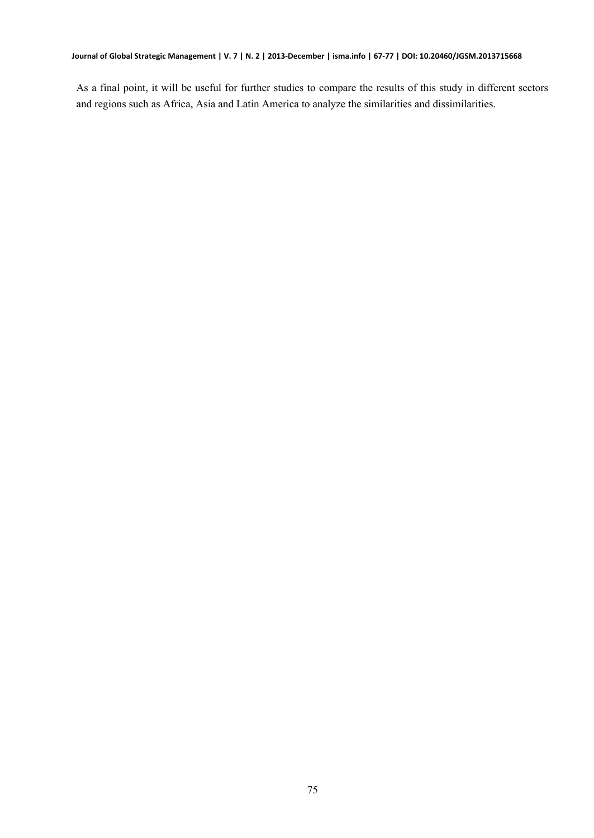As a final point, it will be useful for further studies to compare the results of this study in different sectors and regions such as Africa, Asia and Latin America to analyze the similarities and dissimilarities.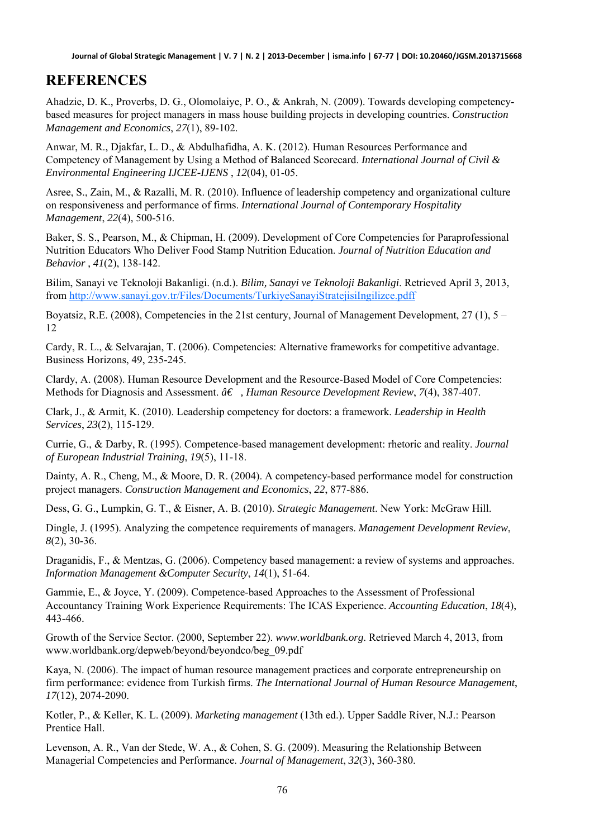#### **REFERENCES**

Ahadzie, D. K., Proverbs, D. G., Olomolaiye, P. O., & Ankrah, N. (2009). Towards developing competencybased measures for project managers in mass house building projects in developing countries. *Construction Management and Economics*, *27*(1), 89-102.

Anwar, M. R., Djakfar, L. D., & Abdulhafidha, A. K. (2012). Human Resources Performance and Competency of Management by Using a Method of Balanced Scorecard. *International Journal of Civil & Environmental Engineering IJCEE-IJENS* , *12*(04), 01-05.

Asree, S., Zain, M., & Razalli, M. R. (2010). Influence of leadership competency and organizational culture on responsiveness and performance of firms. *International Journal of Contemporary Hospitality Management*, *22*(4), 500-516.

Baker, S. S., Pearson, M., & Chipman, H. (2009). Development of Core Competencies for Paraprofessional Nutrition Educators Who Deliver Food Stamp Nutrition Education. *Journal of Nutrition Education and Behavior* , *41*(2), 138-142.

Bilim, Sanayi ve Teknoloji Bakanligi. (n.d.). *Bilim, Sanayi ve Teknoloji Bakanligi*. Retrieved April 3, 2013, from<http://www.sanayi.gov.tr/Files/Documents/TurkiyeSanayiStratejisiIngilizce.pdff>

Boyatsiz, R.E. (2008), Competencies in the 21st century, Journal of Management Development, 27 (1), 5 – 12

Cardy, R. L., & Selvarajan, T. (2006). Competencies: Alternative frameworks for competitive advantage. Business Horizons, 49, 235-245.

Clardy, A. (2008). Human Resource Development and the Resource-Based Model of Core Competencies: Methods for Diagnosis and Assessment.  $\hat{a}€$ , *Human Resource Development Review*, 7(4), 387-407.

Clark, J., & Armit, K. (2010). Leadership competency for doctors: a framework. *Leadership in Health Services*, *23*(2), 115-129.

Currie, G., & Darby, R. (1995). Competence-based management development: rhetoric and reality. *Journal of European Industrial Training*, *19*(5), 11-18.

Dainty, A. R., Cheng, M., & Moore, D. R. (2004). A competency-based performance model for construction project managers. *Construction Management and Economics*, *22*, 877-886.

Dess, G. G., Lumpkin, G. T., & Eisner, A. B. (2010). *Strategic Management*. New York: McGraw Hill.

Dingle, J. (1995). Analyzing the competence requirements of managers. *Management Development Review*, *8*(2), 30-36.

Draganidis, F., & Mentzas, G. (2006). Competency based management: a review of systems and approaches. *Information Management &Computer Security*, *14*(1), 51-64.

Gammie, E., & Joyce, Y. (2009). Competence-based Approaches to the Assessment of Professional Accountancy Training Work Experience Requirements: The ICAS Experience. *Accounting Education*, *18*(4), 443-466.

Growth of the Service Sector. (2000, September 22). *www.worldbank.org*. Retrieved March 4, 2013, from www.worldbank.org/depweb/beyond/beyondco/beg\_09.pdf

Kaya, N. (2006). The impact of human resource management practices and corporate entrepreneurship on firm performance: evidence from Turkish firms. *The International Journal of Human Resource Management*, *17*(12), 2074-2090.

Kotler, P., & Keller, K. L. (2009). *Marketing management* (13th ed.). Upper Saddle River, N.J.: Pearson Prentice Hall.

Levenson, A. R., Van der Stede, W. A., & Cohen, S. G. (2009). Measuring the Relationship Between Managerial Competencies and Performance. *Journal of Management*, *32*(3), 360-380.